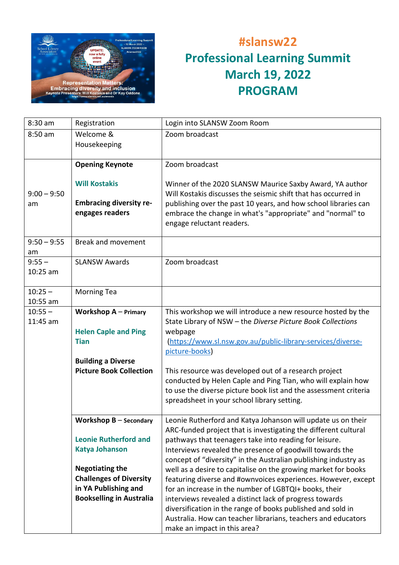

## **#slansw22 Professional Learning Summit March 19, 2022 PROGRAM**

| 8:30 am                 | Registration                                                                                                                                          | Login into SLANSW Zoom Room                                                                                                                                                                                                                                                                                                                                                                                         |
|-------------------------|-------------------------------------------------------------------------------------------------------------------------------------------------------|---------------------------------------------------------------------------------------------------------------------------------------------------------------------------------------------------------------------------------------------------------------------------------------------------------------------------------------------------------------------------------------------------------------------|
| $8:50$ am               | Welcome &<br>Housekeeping                                                                                                                             | Zoom broadcast                                                                                                                                                                                                                                                                                                                                                                                                      |
|                         | <b>Opening Keynote</b><br><b>Will Kostakis</b>                                                                                                        | Zoom broadcast<br>Winner of the 2020 SLANSW Maurice Saxby Award, YA author                                                                                                                                                                                                                                                                                                                                          |
| $9:00 - 9:50$<br>am     | <b>Embracing diversity re-</b><br>engages readers                                                                                                     | Will Kostakis discusses the seismic shift that has occurred in<br>publishing over the past 10 years, and how school libraries can<br>embrace the change in what's "appropriate" and "normal" to<br>engage reluctant readers.                                                                                                                                                                                        |
| $9:50 - 9:55$<br>am     | <b>Break and movement</b>                                                                                                                             |                                                                                                                                                                                                                                                                                                                                                                                                                     |
| $9:55 -$<br>$10:25$ am  | <b>SLANSW Awards</b>                                                                                                                                  | Zoom broadcast                                                                                                                                                                                                                                                                                                                                                                                                      |
| $10:25 -$<br>$10:55$ am | <b>Morning Tea</b>                                                                                                                                    |                                                                                                                                                                                                                                                                                                                                                                                                                     |
| $10:55 -$<br>11:45 am   | <b>Workshop <math>A -</math> Primary</b><br><b>Helen Caple and Ping</b><br><b>Tian</b><br><b>Building a Diverse</b><br><b>Picture Book Collection</b> | This workshop we will introduce a new resource hosted by the<br>State Library of NSW - the Diverse Picture Book Collections<br>webpage<br>(https://www.sl.nsw.gov.au/public-library-services/diverse-<br>picture-books)<br>This resource was developed out of a research project                                                                                                                                    |
|                         |                                                                                                                                                       | conducted by Helen Caple and Ping Tian, who will explain how<br>to use the diverse picture book list and the assessment criteria<br>spreadsheet in your school library setting.                                                                                                                                                                                                                                     |
|                         | <b>Workshop <math>B -</math> Secondary</b>                                                                                                            | Leonie Rutherford and Katya Johanson will update us on their<br>ARC-funded project that is investigating the different cultural                                                                                                                                                                                                                                                                                     |
|                         | <b>Leonie Rutherford and</b><br><b>Katya Johanson</b>                                                                                                 | pathways that teenagers take into reading for leisure.<br>Interviews revealed the presence of goodwill towards the<br>concept of "diversity" in the Australian publishing industry as                                                                                                                                                                                                                               |
|                         | <b>Negotiating the</b><br><b>Challenges of Diversity</b><br>in YA Publishing and<br><b>Bookselling in Australia</b>                                   | well as a desire to capitalise on the growing market for books<br>featuring diverse and #ownvoices experiences. However, except<br>for an increase in the number of LGBTQI+ books, their<br>interviews revealed a distinct lack of progress towards<br>diversification in the range of books published and sold in<br>Australia. How can teacher librarians, teachers and educators<br>make an impact in this area? |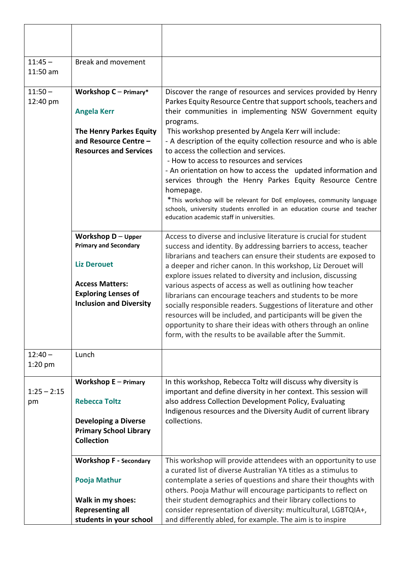| $11:45 -$<br>11:50 am | <b>Break and movement</b>                                                                                                                                            |                                                                                                                                                                                                                                                                                                                                                                                                                                                                                                                                                                                                                                                                                                                                                                            |
|-----------------------|----------------------------------------------------------------------------------------------------------------------------------------------------------------------|----------------------------------------------------------------------------------------------------------------------------------------------------------------------------------------------------------------------------------------------------------------------------------------------------------------------------------------------------------------------------------------------------------------------------------------------------------------------------------------------------------------------------------------------------------------------------------------------------------------------------------------------------------------------------------------------------------------------------------------------------------------------------|
| $11:50 -$<br>12:40 pm | Workshop $C -$ Primary*<br><b>Angela Kerr</b><br><b>The Henry Parkes Equity</b><br>and Resource Centre -<br><b>Resources and Services</b>                            | Discover the range of resources and services provided by Henry<br>Parkes Equity Resource Centre that support schools, teachers and<br>their communities in implementing NSW Government equity<br>programs.<br>This workshop presented by Angela Kerr will include:<br>- A description of the equity collection resource and who is able<br>to access the collection and services.<br>- How to access to resources and services<br>- An orientation on how to access the updated information and<br>services through the Henry Parkes Equity Resource Centre<br>homepage.<br>*This workshop will be relevant for DoE employees, community language<br>schools, university students enrolled in an education course and teacher<br>education academic staff in universities. |
|                       | Workshop $D -$ Upper<br><b>Primary and Secondary</b><br><b>Liz Derouet</b><br><b>Access Matters:</b><br><b>Exploring Lenses of</b><br><b>Inclusion and Diversity</b> | Access to diverse and inclusive literature is crucial for student<br>success and identity. By addressing barriers to access, teacher<br>librarians and teachers can ensure their students are exposed to<br>a deeper and richer canon. In this workshop, Liz Derouet will<br>explore issues related to diversity and inclusion, discussing<br>various aspects of access as well as outlining how teacher<br>librarians can encourage teachers and students to be more<br>socially responsible readers. Suggestions of literature and other<br>resources will be included, and participants will be given the<br>opportunity to share their ideas with others through an online<br>form, with the results to be available after the Summit.                                 |
| $12:40-$<br>$1:20$ pm | Lunch                                                                                                                                                                |                                                                                                                                                                                                                                                                                                                                                                                                                                                                                                                                                                                                                                                                                                                                                                            |
| $1:25 - 2:15$<br>pm   | <b>Workshop <math>E -</math> Primary</b><br><b>Rebecca Toltz</b><br><b>Developing a Diverse</b><br><b>Primary School Library</b><br><b>Collection</b>                | In this workshop, Rebecca Toltz will discuss why diversity is<br>important and define diversity in her context. This session will<br>also address Collection Development Policy, Evaluating<br>Indigenous resources and the Diversity Audit of current library<br>collections.                                                                                                                                                                                                                                                                                                                                                                                                                                                                                             |
|                       | <b>Workshop F - Secondary</b><br>Pooja Mathur<br>Walk in my shoes:<br><b>Representing all</b><br>students in your school                                             | This workshop will provide attendees with an opportunity to use<br>a curated list of diverse Australian YA titles as a stimulus to<br>contemplate a series of questions and share their thoughts with<br>others. Pooja Mathur will encourage participants to reflect on<br>their student demographics and their library collections to<br>consider representation of diversity: multicultural, LGBTQIA+,<br>and differently abled, for example. The aim is to inspire                                                                                                                                                                                                                                                                                                      |